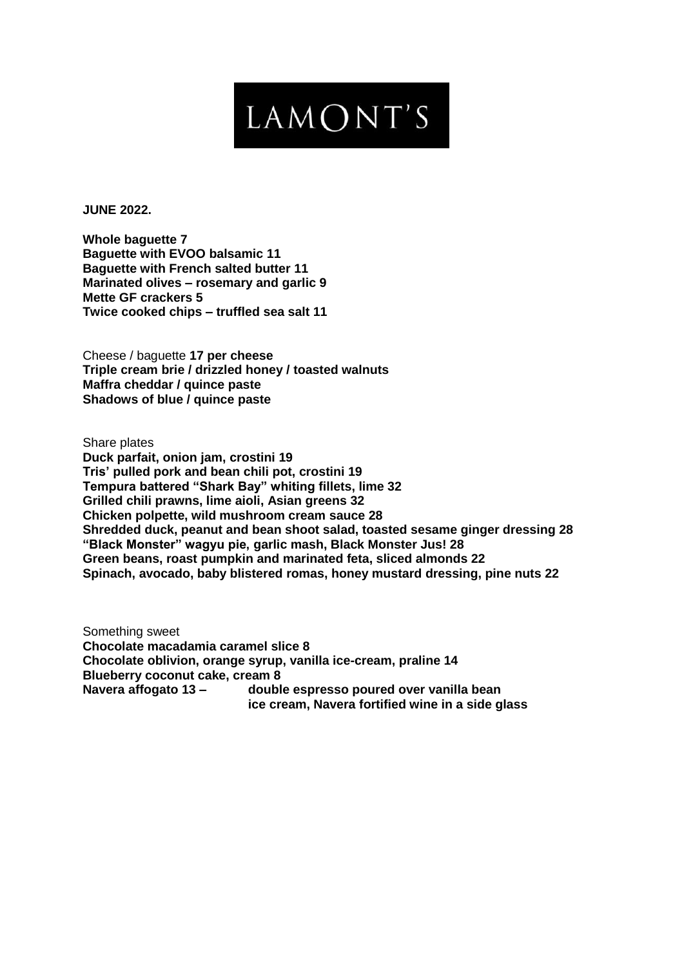## LAMONT'S

**JUNE 2022.**

**Whole baguette 7 Baguette with EVOO balsamic 11 Baguette with French salted butter 11 Marinated olives – rosemary and garlic 9 Mette GF crackers 5 Twice cooked chips – truffled sea salt 11**

Cheese / baguette **17 per cheese Triple cream brie / drizzled honey / toasted walnuts Maffra cheddar / quince paste Shadows of blue / quince paste**

Share plates **Duck parfait, onion jam, crostini 19 Tris' pulled pork and bean chili pot, crostini 19 Tempura battered "Shark Bay" whiting fillets, lime 32 Grilled chili prawns, lime aioli, Asian greens 32 Chicken polpette, wild mushroom cream sauce 28 Shredded duck, peanut and bean shoot salad, toasted sesame ginger dressing 28 "Black Monster" wagyu pie, garlic mash, Black Monster Jus! 28 Green beans, roast pumpkin and marinated feta, sliced almonds 22 Spinach, avocado, baby blistered romas, honey mustard dressing, pine nuts 22**

Something sweet **Chocolate macadamia caramel slice 8 Chocolate oblivion, orange syrup, vanilla ice-cream, praline 14 Blueberry coconut cake, cream 8 Navera affogato 13 – double espresso poured over vanilla bean ice cream, Navera fortified wine in a side glass**